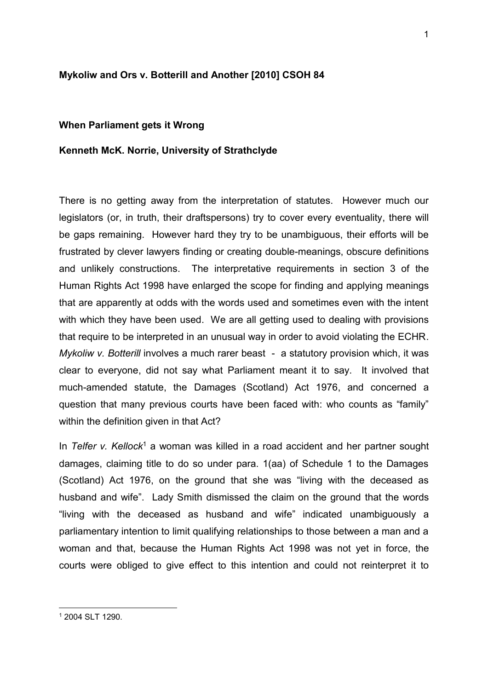## **Mykoliw and Ors v. Botterill and Another [2010] CSOH 84**

## **When Parliament gets it Wrong**

## **Kenneth McK. Norrie, University of Strathclyde**

There is no getting away from the interpretation of statutes. However much our legislators (or, in truth, their draftspersons) try to cover every eventuality, there will be gaps remaining. However hard they try to be unambiguous, their efforts will be frustrated by clever lawyers finding or creating double-meanings, obscure definitions and unlikely constructions. The interpretative requirements in section 3 of the Human Rights Act 1998 have enlarged the scope for finding and applying meanings that are apparently at odds with the words used and sometimes even with the intent with which they have been used. We are all getting used to dealing with provisions that require to be interpreted in an unusual way in order to avoid violating the ECHR. *Mykoliw v. Botterill* involves a much rarer beast - a statutory provision which, it was clear to everyone, did not say what Parliament meant it to say. It involved that much-amended statute, the Damages (Scotland) Act 1976, and concerned a question that many previous courts have been faced with: who counts as "family" within the definition given in that Act?

In *Telfer v. Kellock<sup>1</sup>* a woman was killed in a road accident and her partner sought damages, claiming title to do so under para. 1(aa) of Schedule 1 to the Damages (Scotland) Act 1976, on the ground that she was "living with the deceased as husband and wife". Lady Smith dismissed the claim on the ground that the words "living with the deceased as husband and wife" indicated unambiguously a parliamentary intention to limit qualifying relationships to those between a man and a woman and that, because the Human Rights Act 1998 was not yet in force, the courts were obliged to give effect to this intention and could not reinterpret it to

-

<sup>1</sup> 2004 SLT 1290.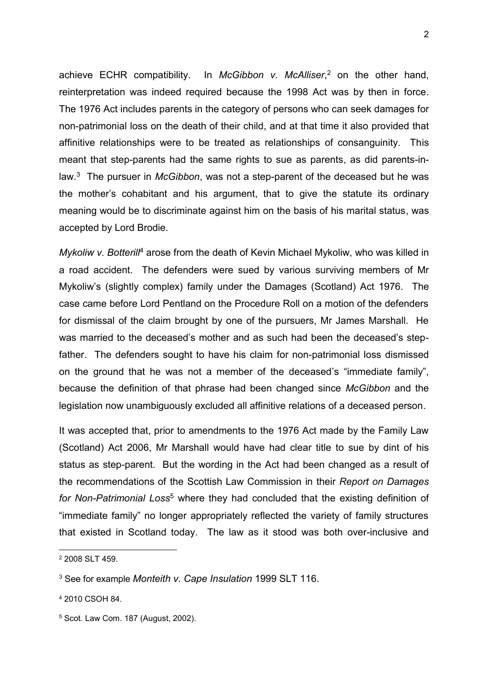achieve ECHR compatibility. In *McGibbon v. McAlliser*, <sup>2</sup> on the other hand, reinterpretation was indeed required because the 1998 Act was by then in force. The 1976 Act includes parents in the category of persons who can seek damages for non-patrimonial loss on the death of their child, and at that time it also provided that affinitive relationships were to be treated as relationships of consanguinity. This meant that step-parents had the same rights to sue as parents, as did parents-inlaw. 3 The pursuer in *McGibbon*, was not a step-parent of the deceased but he was the mother's cohabitant and his argument, that to give the statute its ordinary meaning would be to discriminate against him on the basis of his marital status, was accepted by Lord Brodie.

*Mykoliw v. Botterill<sup>4</sup>* arose from the death of Kevin Michael Mykoliw, who was killed in a road accident. The defenders were sued by various surviving members of Mr Mykoliw's (slightly complex) family under the Damages (Scotland) Act 1976. The case came before Lord Pentland on the Procedure Roll on a motion of the defenders for dismissal of the claim brought by one of the pursuers, Mr James Marshall. He was married to the deceased's mother and as such had been the deceased's stepfather. The defenders sought to have his claim for non-patrimonial loss dismissed on the ground that he was not a member of the deceased's "immediate family", because the definition of that phrase had been changed since *McGibbon* and the legislation now unambiguously excluded all affinitive relations of a deceased person.

It was accepted that, prior to amendments to the 1976 Act made by the Family Law (Scotland) Act 2006, Mr Marshall would have had clear title to sue by dint of his status as step-parent. But the wording in the Act had been changed as a result of the recommendations of the Scottish Law Commission in their *Report on Damages for Non-Patrimonial Loss*<sup>5</sup> where they had concluded that the existing definition of "immediate family" no longer appropriately reflected the variety of family structures that existed in Scotland today. The law as it stood was both over-inclusive and

-

<sup>2</sup> 2008 SLT 459.

<sup>3</sup> See for example *Monteith v. Cape Insulation* 1999 SLT 116.

<sup>4</sup> 2010 CSOH 84.

<sup>5</sup> Scot. Law Com. 187 (August, 2002).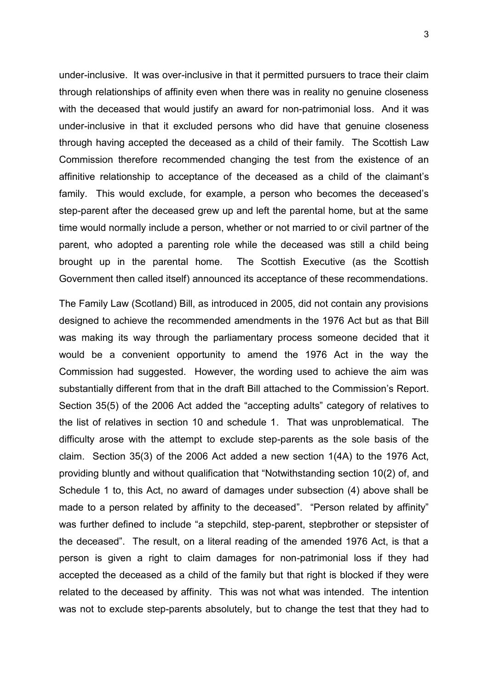under-inclusive. It was over-inclusive in that it permitted pursuers to trace their claim through relationships of affinity even when there was in reality no genuine closeness with the deceased that would justify an award for non-patrimonial loss. And it was under-inclusive in that it excluded persons who did have that genuine closeness through having accepted the deceased as a child of their family. The Scottish Law Commission therefore recommended changing the test from the existence of an affinitive relationship to acceptance of the deceased as a child of the claimant's family. This would exclude, for example, a person who becomes the deceased's step-parent after the deceased grew up and left the parental home, but at the same time would normally include a person, whether or not married to or civil partner of the parent, who adopted a parenting role while the deceased was still a child being brought up in the parental home. The Scottish Executive (as the Scottish Government then called itself) announced its acceptance of these recommendations.

The Family Law (Scotland) Bill, as introduced in 2005, did not contain any provisions designed to achieve the recommended amendments in the 1976 Act but as that Bill was making its way through the parliamentary process someone decided that it would be a convenient opportunity to amend the 1976 Act in the way the Commission had suggested. However, the wording used to achieve the aim was substantially different from that in the draft Bill attached to the Commission's Report. Section 35(5) of the 2006 Act added the "accepting adults" category of relatives to the list of relatives in section 10 and schedule 1. That was unproblematical. The difficulty arose with the attempt to exclude step-parents as the sole basis of the claim. Section 35(3) of the 2006 Act added a new section 1(4A) to the 1976 Act, providing bluntly and without qualification that "Notwithstanding section 10(2) of, and Schedule 1 to, this Act, no award of damages under subsection (4) above shall be made to a person related by affinity to the deceased". "Person related by affinity" was further defined to include "a stepchild, step-parent, stepbrother or stepsister of the deceased". The result, on a literal reading of the amended 1976 Act, is that a person is given a right to claim damages for non-patrimonial loss if they had accepted the deceased as a child of the family but that right is blocked if they were related to the deceased by affinity. This was not what was intended. The intention was not to exclude step-parents absolutely, but to change the test that they had to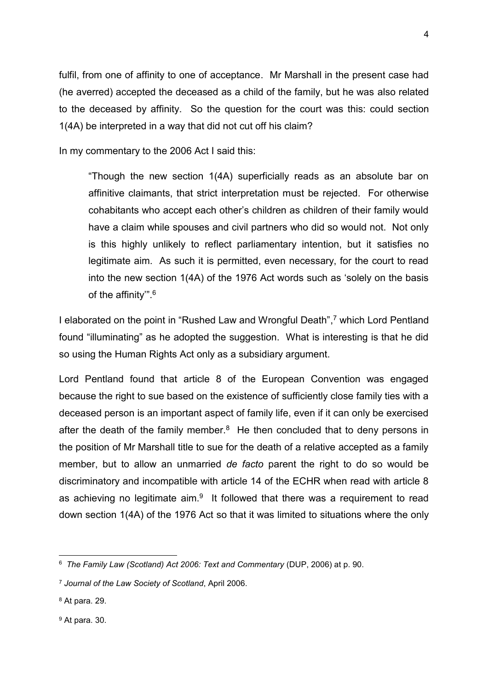fulfil, from one of affinity to one of acceptance. Mr Marshall in the present case had (he averred) accepted the deceased as a child of the family, but he was also related to the deceased by affinity. So the question for the court was this: could section 1(4A) be interpreted in a way that did not cut off his claim?

In my commentary to the 2006 Act I said this:

"Though the new section 1(4A) superficially reads as an absolute bar on affinitive claimants, that strict interpretation must be rejected. For otherwise cohabitants who accept each other's children as children of their family would have a claim while spouses and civil partners who did so would not. Not only is this highly unlikely to reflect parliamentary intention, but it satisfies no legitimate aim. As such it is permitted, even necessary, for the court to read into the new section 1(4A) of the 1976 Act words such as 'solely on the basis of the affinity".<sup>6</sup>

I elaborated on the point in "Rushed Law and Wrongful Death", <sup>7</sup> which Lord Pentland found "illuminating" as he adopted the suggestion. What is interesting is that he did so using the Human Rights Act only as a subsidiary argument.

Lord Pentland found that article 8 of the European Convention was engaged because the right to sue based on the existence of sufficiently close family ties with a deceased person is an important aspect of family life, even if it can only be exercised after the death of the family member. $8$  He then concluded that to deny persons in the position of Mr Marshall title to sue for the death of a relative accepted as a family member, but to allow an unmarried *de facto* parent the right to do so would be discriminatory and incompatible with article 14 of the ECHR when read with article 8 as achieving no legitimate  $a$ im. $9$  It followed that there was a requirement to read down section 1(4A) of the 1976 Act so that it was limited to situations where the only

<sup>-</sup>6 *The Family Law (Scotland) Act 2006: Text and Commentary* (DUP, 2006) at p. 90.

<sup>7</sup> *Journal of the Law Society of Scotland*, April 2006.

<sup>8</sup> At para. 29.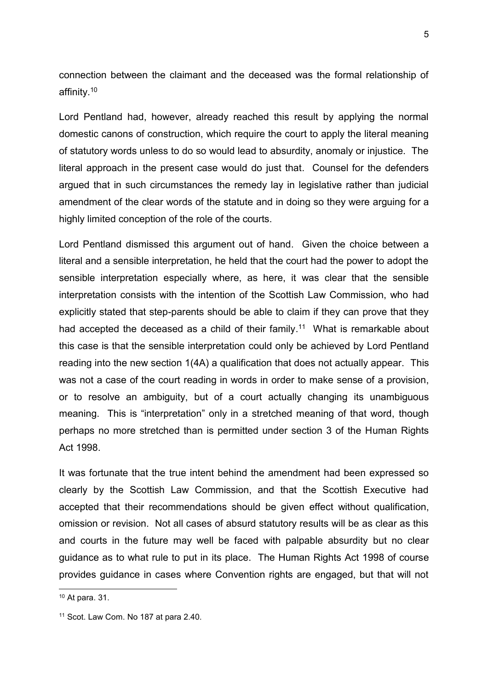connection between the claimant and the deceased was the formal relationship of affinity.<sup>10</sup>

Lord Pentland had, however, already reached this result by applying the normal domestic canons of construction, which require the court to apply the literal meaning of statutory words unless to do so would lead to absurdity, anomaly or injustice. The literal approach in the present case would do just that. Counsel for the defenders argued that in such circumstances the remedy lay in legislative rather than judicial amendment of the clear words of the statute and in doing so they were arguing for a highly limited conception of the role of the courts.

Lord Pentland dismissed this argument out of hand. Given the choice between a literal and a sensible interpretation, he held that the court had the power to adopt the sensible interpretation especially where, as here, it was clear that the sensible interpretation consists with the intention of the Scottish Law Commission, who had explicitly stated that step-parents should be able to claim if they can prove that they had accepted the deceased as a child of their family.<sup>11</sup> What is remarkable about this case is that the sensible interpretation could only be achieved by Lord Pentland reading into the new section 1(4A) a qualification that does not actually appear. This was not a case of the court reading in words in order to make sense of a provision, or to resolve an ambiguity, but of a court actually changing its unambiguous meaning. This is "interpretation" only in a stretched meaning of that word, though perhaps no more stretched than is permitted under section 3 of the Human Rights Act 1998.

It was fortunate that the true intent behind the amendment had been expressed so clearly by the Scottish Law Commission, and that the Scottish Executive had accepted that their recommendations should be given effect without qualification, omission or revision. Not all cases of absurd statutory results will be as clear as this and courts in the future may well be faced with palpable absurdity but no clear guidance as to what rule to put in its place. The Human Rights Act 1998 of course provides guidance in cases where Convention rights are engaged, but that will not

-

<sup>10</sup> At para. 31.

<sup>11</sup> Scot. Law Com. No 187 at para 2.40.